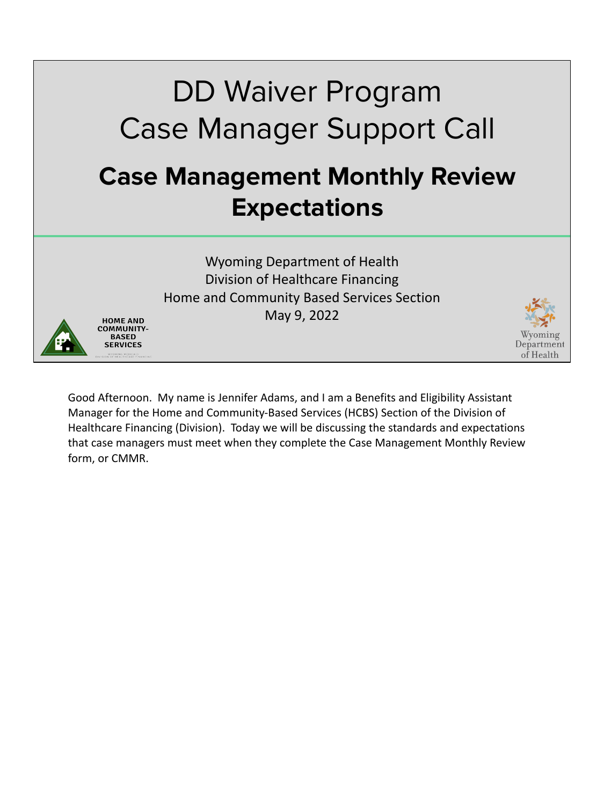# DD Waiver Program Case Manager Support Call **Case Management Monthly Review Expectations**

Wyoming Department of Health Division of Healthcare Financing Home and Community Based Services Section May 9, 2022



HOME AND

**BASED SERVICES** 

Department of Health

Good Afternoon. My name is Jennifer Adams, and I am a Benefits and Eligibility Assistant Manager for the Home and Community-Based Services (HCBS) Section of the Division of Healthcare Financing (Division). Today we will be discussing the standards and expectations that case managers must meet when they complete the Case Management Monthly Review form, or CMMR.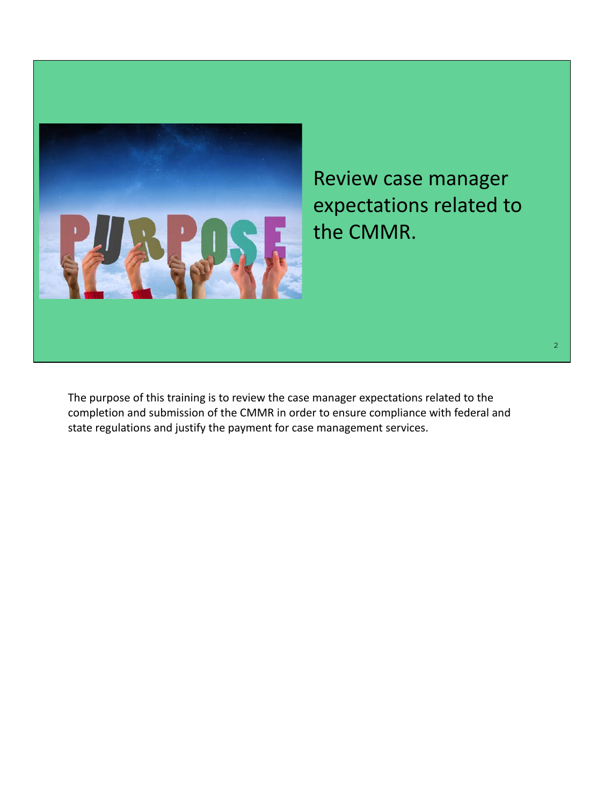

Review case manager expectations related to the CMMR.

The purpose of this training is to review the case manager expectations related to the completion and submission of the CMMR in order to ensure compliance with federal and state regulations and justify the payment for case management services.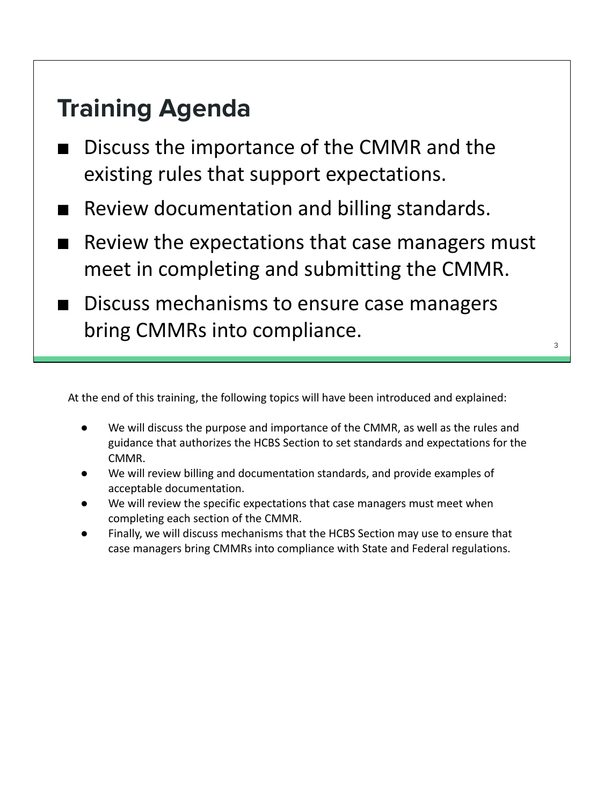### **Training Agenda**

- Discuss the importance of the CMMR and the existing rules that support expectations.
- Review documentation and billing standards.
- Review the expectations that case managers must meet in completing and submitting the CMMR.
- Discuss mechanisms to ensure case managers bring CMMRs into compliance.

3

At the end of this training, the following topics will have been introduced and explained:

- We will discuss the purpose and importance of the CMMR, as well as the rules and guidance that authorizes the HCBS Section to set standards and expectations for the CMMR.
- We will review billing and documentation standards, and provide examples of acceptable documentation.
- We will review the specific expectations that case managers must meet when completing each section of the CMMR.
- Finally, we will discuss mechanisms that the HCBS Section may use to ensure that case managers bring CMMRs into compliance with State and Federal regulations.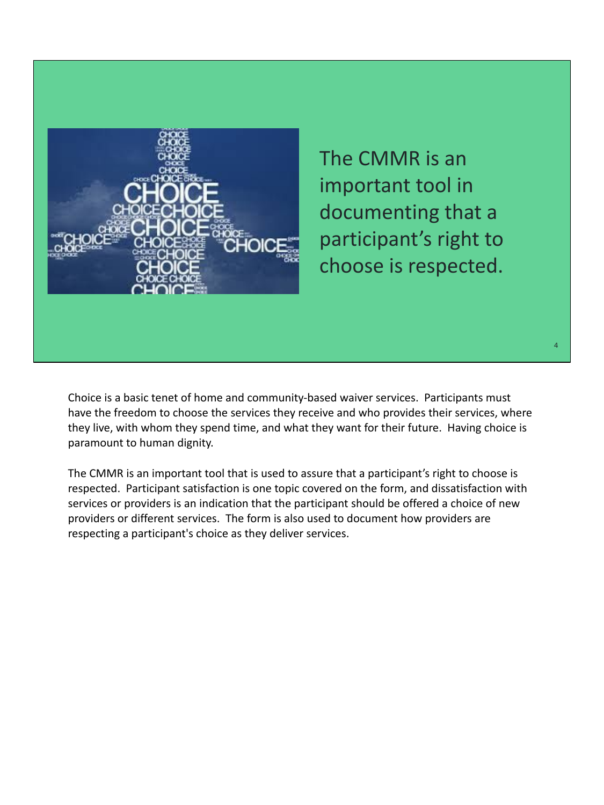

The CMMR is an important tool in documenting that a participant's right to choose is respected.

4

Choice is a basic tenet of home and community-based waiver services. Participants must have the freedom to choose the services they receive and who provides their services, where they live, with whom they spend time, and what they want for their future. Having choice is paramount to human dignity.

The CMMR is an important tool that is used to assure that a participant's right to choose is respected. Participant satisfaction is one topic covered on the form, and dissatisfaction with services or providers is an indication that the participant should be offered a choice of new providers or different services. The form is also used to document how providers are respecting a participant's choice as they deliver services.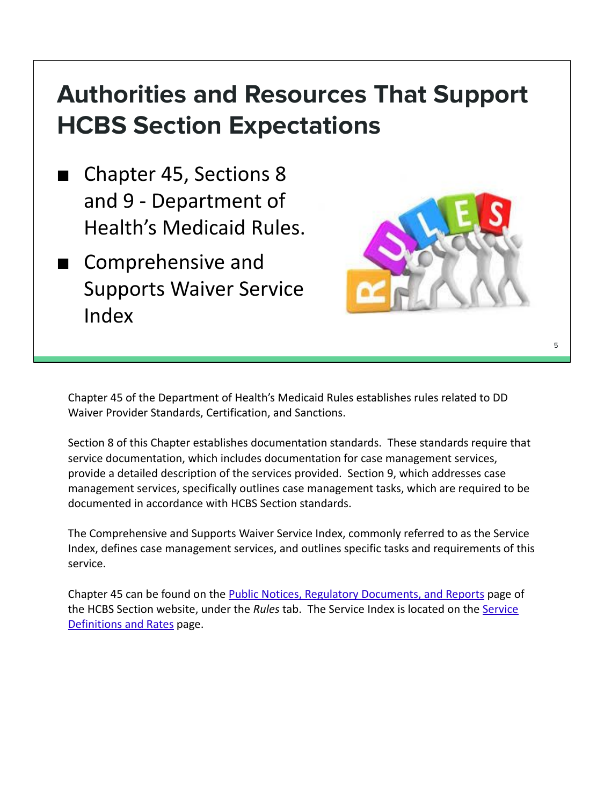## **Authorities and Resources That Support HCBS Section Expectations**

- Chapter 45, Sections 8 and 9 - Department of Health's Medicaid Rules.
- Comprehensive and Supports Waiver Service Index



Chapter 45 of the Department of Health's Medicaid Rules establishes rules related to DD Waiver Provider Standards, Certification, and Sanctions.

Section 8 of this Chapter establishes documentation standards. These standards require that service documentation, which includes documentation for case management services, provide a detailed description of the services provided. Section 9, which addresses case management services, specifically outlines case management tasks, which are required to be documented in accordance with HCBS Section standards.

The Comprehensive and Supports Waiver Service Index, commonly referred to as the Service Index, defines case management services, and outlines specific tasks and requirements of this service.

Chapter 45 can be found on the **Public Notices**, Regulatory Documents, and Reports page of the HCBS Section website, under the *Rules* tab. The Service Index is located on the [Service](https://health.wyo.gov/healthcarefin/hcbs/servicesandrates/) [Definitions and Rates](https://health.wyo.gov/healthcarefin/hcbs/servicesandrates/) page.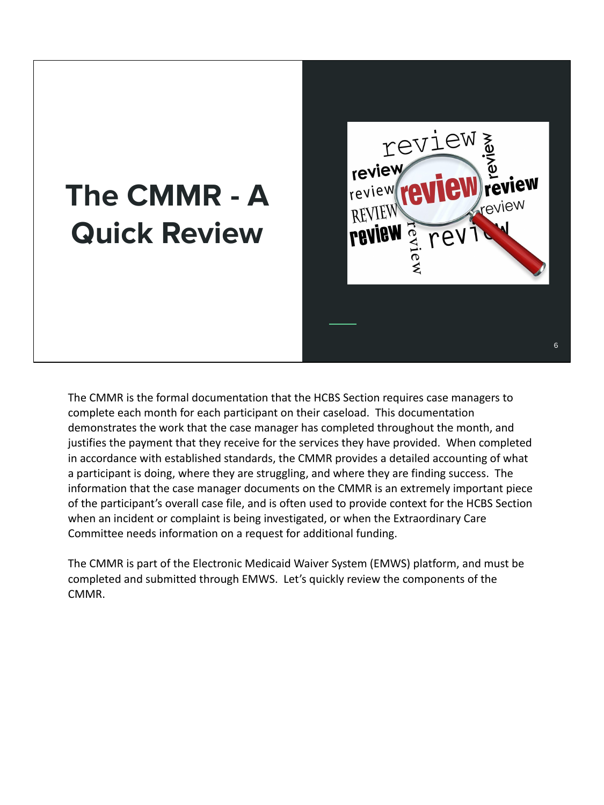## **The CMMR - A Quick Review**



The CMMR is the formal documentation that the HCBS Section requires case managers to complete each month for each participant on their caseload. This documentation demonstrates the work that the case manager has completed throughout the month, and justifies the payment that they receive for the services they have provided. When completed in accordance with established standards, the CMMR provides a detailed accounting of what a participant is doing, where they are struggling, and where they are finding success. The information that the case manager documents on the CMMR is an extremely important piece of the participant's overall case file, and is often used to provide context for the HCBS Section when an incident or complaint is being investigated, or when the Extraordinary Care Committee needs information on a request for additional funding.

The CMMR is part of the Electronic Medicaid Waiver System (EMWS) platform, and must be completed and submitted through EMWS. Let's quickly review the components of the CMMR.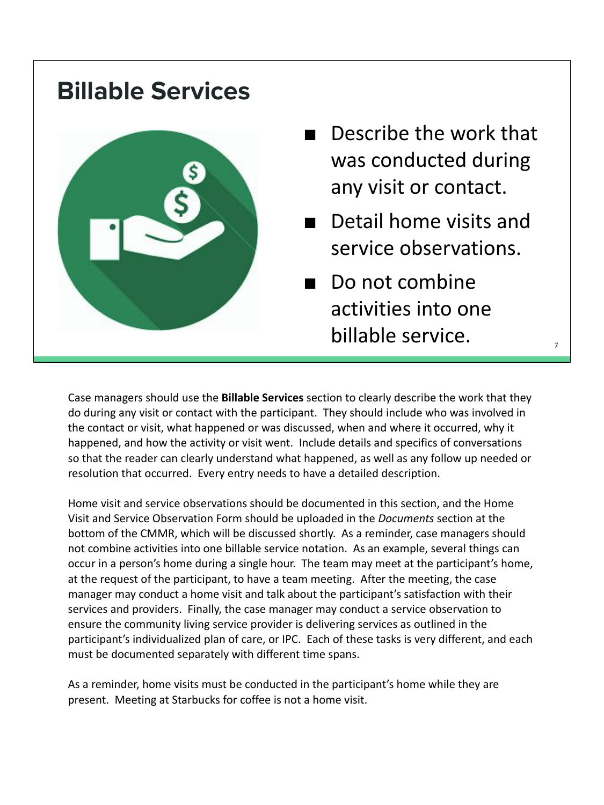#### **Billable Services**



- Describe the work that was conducted during any visit or contact.
- Detail home visits and service observations.

7

■ Do not combine activities into one billable service.

Case managers should use the **Billable Services** section to clearly describe the work that they do during any visit or contact with the participant. They should include who was involved in the contact or visit, what happened or was discussed, when and where it occurred, why it happened, and how the activity or visit went. Include details and specifics of conversations so that the reader can clearly understand what happened, as well as any follow up needed or resolution that occurred. Every entry needs to have a detailed description.

Home visit and service observations should be documented in this section, and the Home Visit and Service Observation Form should be uploaded in the *Documents* section at the bottom of the CMMR, which will be discussed shortly. As a reminder, case managers should not combine activities into one billable service notation. As an example, several things can occur in a person's home during a single hour. The team may meet at the participant's home, at the request of the participant, to have a team meeting. After the meeting, the case manager may conduct a home visit and talk about the participant's satisfaction with their services and providers. Finally, the case manager may conduct a service observation to ensure the community living service provider is delivering services as outlined in the participant's individualized plan of care, or IPC. Each of these tasks is very different, and each must be documented separately with different time spans.

As a reminder, home visits must be conducted in the participant's home while they are present. Meeting at Starbucks for coffee is not a home visit.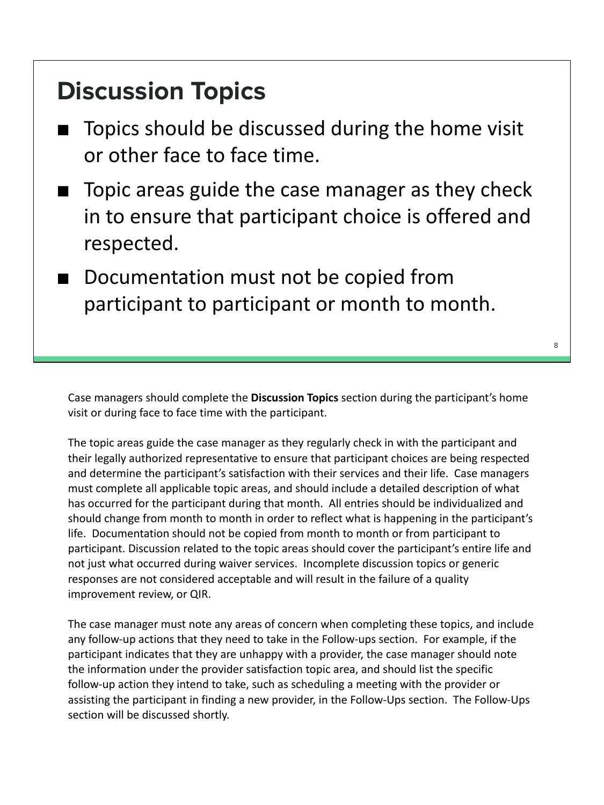#### **Discussion Topics**

- Topics should be discussed during the home visit or other face to face time.
- Topic areas guide the case manager as they check in to ensure that participant choice is offered and respected.
- Documentation must not be copied from participant to participant or month to month.

Case managers should complete the **Discussion Topics** section during the participant's home visit or during face to face time with the participant.

The topic areas guide the case manager as they regularly check in with the participant and their legally authorized representative to ensure that participant choices are being respected and determine the participant's satisfaction with their services and their life. Case managers must complete all applicable topic areas, and should include a detailed description of what has occurred for the participant during that month. All entries should be individualized and should change from month to month in order to reflect what is happening in the participant's life. Documentation should not be copied from month to month or from participant to participant. Discussion related to the topic areas should cover the participant's entire life and not just what occurred during waiver services. Incomplete discussion topics or generic responses are not considered acceptable and will result in the failure of a quality improvement review, or QIR.

The case manager must note any areas of concern when completing these topics, and include any follow-up actions that they need to take in the Follow-ups section. For example, if the participant indicates that they are unhappy with a provider, the case manager should note the information under the provider satisfaction topic area, and should list the specific follow-up action they intend to take, such as scheduling a meeting with the provider or assisting the participant in finding a new provider, in the Follow-Ups section. The Follow-Ups section will be discussed shortly.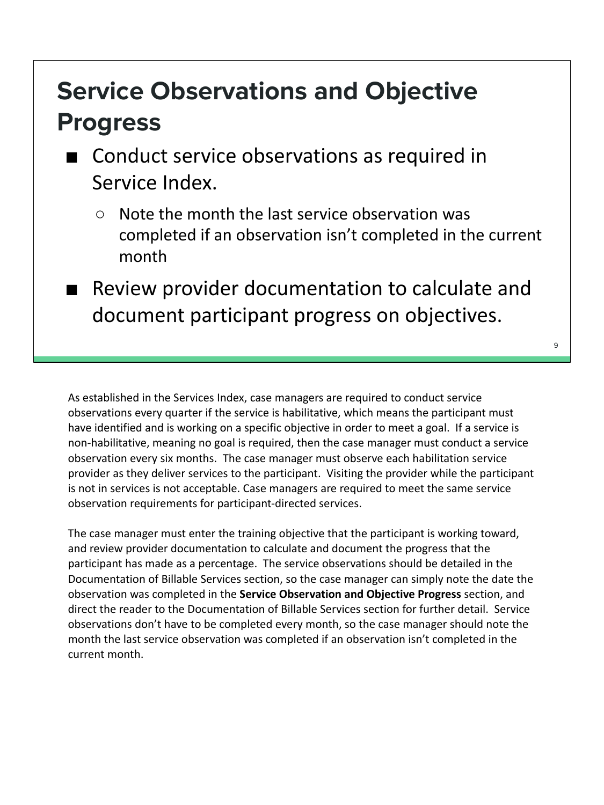## **Service Observations and Objective Progress**

- Conduct service observations as required in Service Index.
	- Note the month the last service observation was completed if an observation isn't completed in the current month
	- Review provider documentation to calculate and document participant progress on objectives.

As established in the Services Index, case managers are required to conduct service observations every quarter if the service is habilitative, which means the participant must have identified and is working on a specific objective in order to meet a goal. If a service is non-habilitative, meaning no goal is required, then the case manager must conduct a service observation every six months. The case manager must observe each habilitation service provider as they deliver services to the participant. Visiting the provider while the participant is not in services is not acceptable. Case managers are required to meet the same service observation requirements for participant-directed services.

The case manager must enter the training objective that the participant is working toward, and review provider documentation to calculate and document the progress that the participant has made as a percentage. The service observations should be detailed in the Documentation of Billable Services section, so the case manager can simply note the date the observation was completed in the **Service Observation and Objective Progress** section, and direct the reader to the Documentation of Billable Services section for further detail. Service observations don't have to be completed every month, so the case manager should note the month the last service observation was completed if an observation isn't completed in the current month.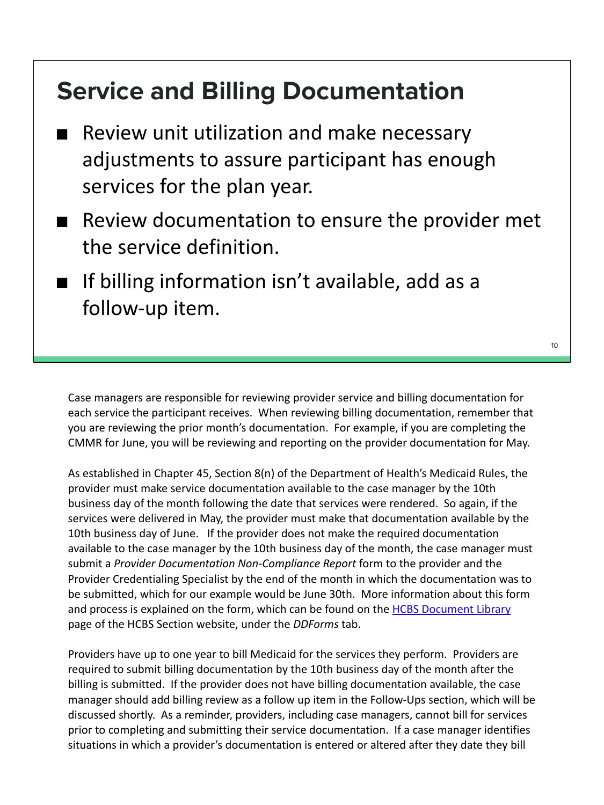#### **Service and Billing Documentation**

- Review unit utilization and make necessary adjustments to assure participant has enough services for the plan year.
- Review documentation to ensure the provider met the service definition.
- If billing information isn't available, add as a follow-up item.

Case managers are responsible for reviewing provider service and billing documentation for each service the participant receives. When reviewing billing documentation, remember that you are reviewing the prior month's documentation. For example, if you are completing the CMMR for June, you will be reviewing and reporting on the provider documentation for May.

As established in Chapter 45, Section 8(n) of the Department of Health's Medicaid Rules, the provider must make service documentation available to the case manager by the 10th business day of the month following the date that services were rendered. So again, if the services were delivered in May, the provider must make that documentation available by the 10th business day of June. If the provider does not make the required documentation available to the case manager by the 10th business day of the month, the case manager must submit a *Provider Documentation Non-Compliance Report* form to the provider and the Provider Credentialing Specialist by the end of the month in which the documentation was to be submitted, which for our example would be June 30th. More information about this form and process is explained on the form, which can be found on the [HCBS Document Library](https://health.wyo.gov/healthcarefin/hcbs/document-library/) page of the HCBS Section website, under the *DDForms* tab.

Providers have up to one year to bill Medicaid for the services they perform. Providers are required to submit billing documentation by the 10th business day of the month after the billing is submitted. If the provider does not have billing documentation available, the case manager should add billing review as a follow up item in the Follow-Ups section, which will be discussed shortly. As a reminder, providers, including case managers, cannot bill for services prior to completing and submitting their service documentation. If a case manager identifies situations in which a provider's documentation is entered or altered after they date they bill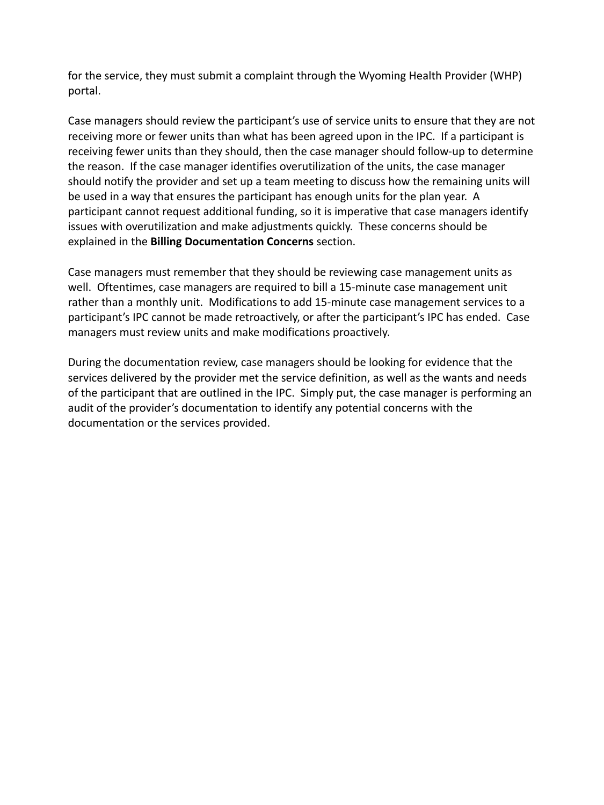for the service, they must submit a complaint through the Wyoming Health Provider (WHP) portal.

Case managers should review the participant's use of service units to ensure that they are not receiving more or fewer units than what has been agreed upon in the IPC. If a participant is receiving fewer units than they should, then the case manager should follow-up to determine the reason. If the case manager identifies overutilization of the units, the case manager should notify the provider and set up a team meeting to discuss how the remaining units will be used in a way that ensures the participant has enough units for the plan year. A participant cannot request additional funding, so it is imperative that case managers identify issues with overutilization and make adjustments quickly. These concerns should be explained in the **Billing Documentation Concerns** section.

Case managers must remember that they should be reviewing case management units as well. Oftentimes, case managers are required to bill a 15-minute case management unit rather than a monthly unit. Modifications to add 15-minute case management services to a participant's IPC cannot be made retroactively, or after the participant's IPC has ended. Case managers must review units and make modifications proactively.

During the documentation review, case managers should be looking for evidence that the services delivered by the provider met the service definition, as well as the wants and needs of the participant that are outlined in the IPC. Simply put, the case manager is performing an audit of the provider's documentation to identify any potential concerns with the documentation or the services provided.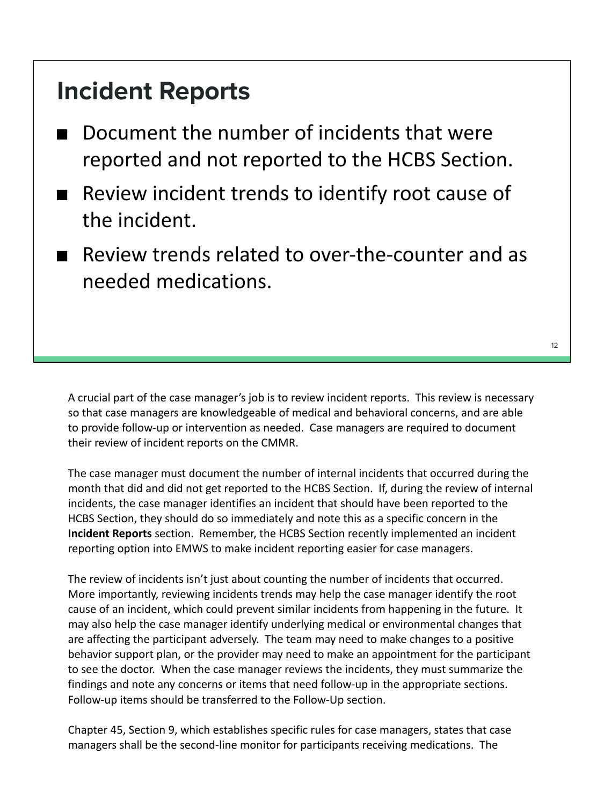#### **Incident Reports**

- Document the number of incidents that were reported and not reported to the HCBS Section.
- Review incident trends to identify root cause of the incident.
- Review trends related to over-the-counter and as needed medications.

A crucial part of the case manager's job is to review incident reports. This review is necessary so that case managers are knowledgeable of medical and behavioral concerns, and are able to provide follow-up or intervention as needed. Case managers are required to document their review of incident reports on the CMMR.

The case manager must document the number of internal incidents that occurred during the month that did and did not get reported to the HCBS Section. If, during the review of internal incidents, the case manager identifies an incident that should have been reported to the HCBS Section, they should do so immediately and note this as a specific concern in the **Incident Reports** section. Remember, the HCBS Section recently implemented an incident reporting option into EMWS to make incident reporting easier for case managers.

The review of incidents isn't just about counting the number of incidents that occurred. More importantly, reviewing incidents trends may help the case manager identify the root cause of an incident, which could prevent similar incidents from happening in the future. It may also help the case manager identify underlying medical or environmental changes that are affecting the participant adversely. The team may need to make changes to a positive behavior support plan, or the provider may need to make an appointment for the participant to see the doctor. When the case manager reviews the incidents, they must summarize the findings and note any concerns or items that need follow-up in the appropriate sections. Follow-up items should be transferred to the Follow-Up section.

Chapter 45, Section 9, which establishes specific rules for case managers, states that case managers shall be the second-line monitor for participants receiving medications. The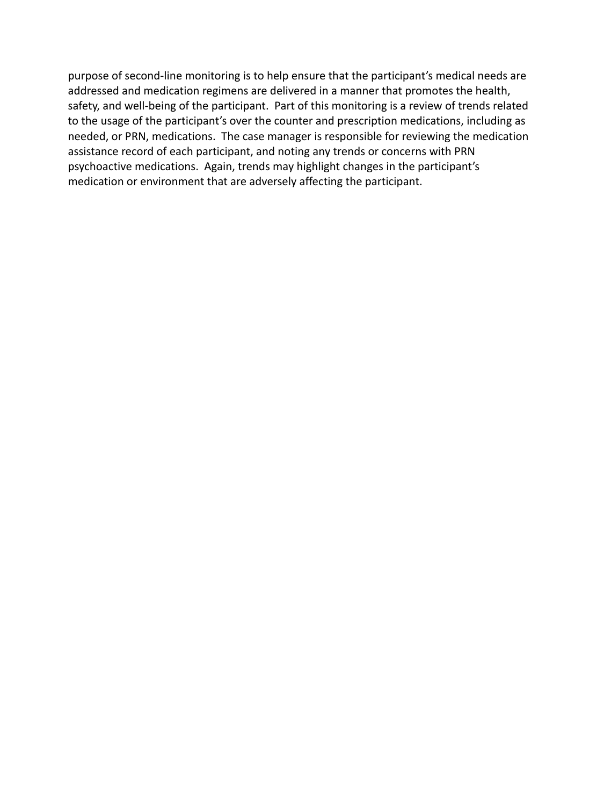purpose of second-line monitoring is to help ensure that the participant's medical needs are addressed and medication regimens are delivered in a manner that promotes the health, safety, and well-being of the participant. Part of this monitoring is a review of trends related to the usage of the participant's over the counter and prescription medications, including as needed, or PRN, medications. The case manager is responsible for reviewing the medication assistance record of each participant, and noting any trends or concerns with PRN psychoactive medications. Again, trends may highlight changes in the participant's medication or environment that are adversely affecting the participant.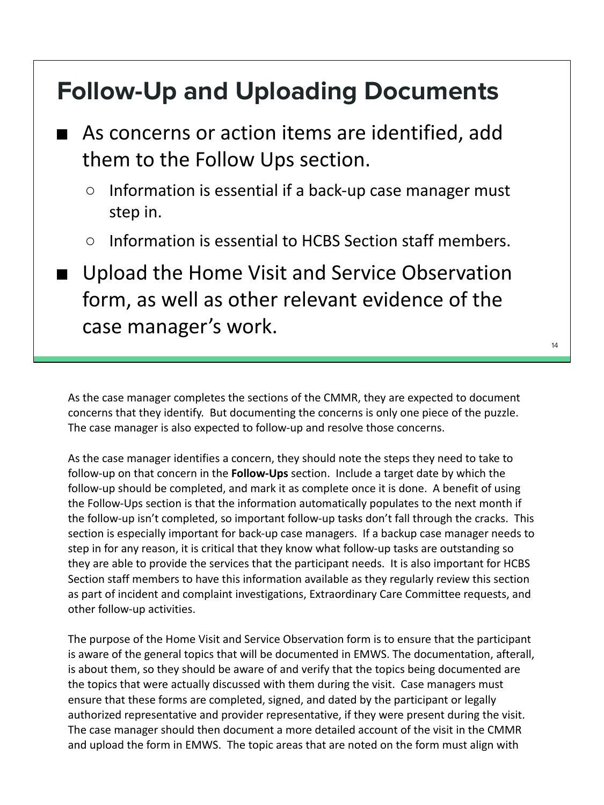#### **Follow-Up and Uploading Documents**

- As concerns or action items are identified, add them to the Follow Ups section.
	- Information is essential if a back-up case manager must step in.
	- Information is essential to HCBS Section staff members.
- Upload the Home Visit and Service Observation form, as well as other relevant evidence of the case manager's work.

As the case manager completes the sections of the CMMR, they are expected to document concerns that they identify. But documenting the concerns is only one piece of the puzzle. The case manager is also expected to follow-up and resolve those concerns.

As the case manager identifies a concern, they should note the steps they need to take to follow-up on that concern in the **Follow-Ups** section. Include a target date by which the follow-up should be completed, and mark it as complete once it is done. A benefit of using the Follow-Ups section is that the information automatically populates to the next month if the follow-up isn't completed, so important follow-up tasks don't fall through the cracks. This section is especially important for back-up case managers. If a backup case manager needs to step in for any reason, it is critical that they know what follow-up tasks are outstanding so they are able to provide the services that the participant needs. It is also important for HCBS Section staff members to have this information available as they regularly review this section as part of incident and complaint investigations, Extraordinary Care Committee requests, and other follow-up activities.

The purpose of the Home Visit and Service Observation form is to ensure that the participant is aware of the general topics that will be documented in EMWS. The documentation, afterall, is about them, so they should be aware of and verify that the topics being documented are the topics that were actually discussed with them during the visit. Case managers must ensure that these forms are completed, signed, and dated by the participant or legally authorized representative and provider representative, if they were present during the visit. The case manager should then document a more detailed account of the visit in the CMMR and upload the form in EMWS. The topic areas that are noted on the form must align with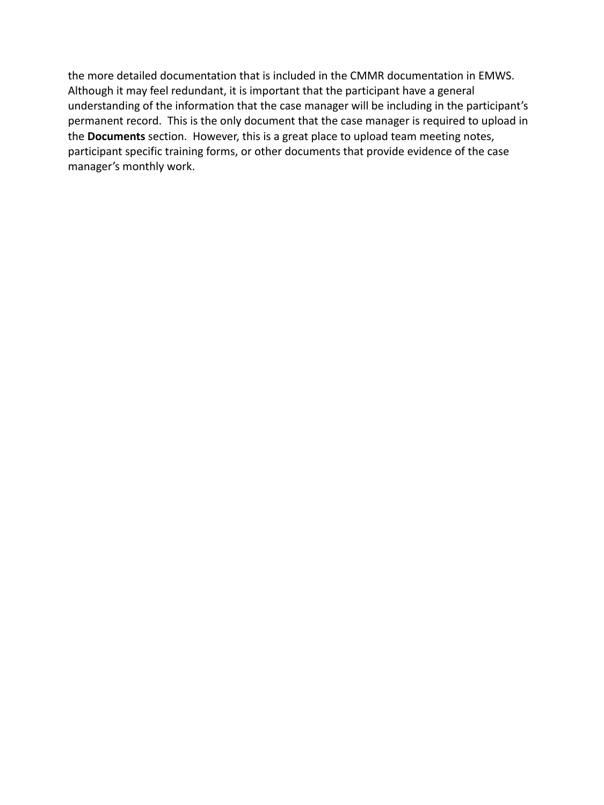the more detailed documentation that is included in the CMMR documentation in EMWS. Although it may feel redundant, it is important that the participant have a general understanding of the information that the case manager will be including in the participant's permanent record. This is the only document that the case manager is required to upload in the **Documents** section. However, this is a great place to upload team meeting notes, participant specific training forms, or other documents that provide evidence of the case manager's monthly work.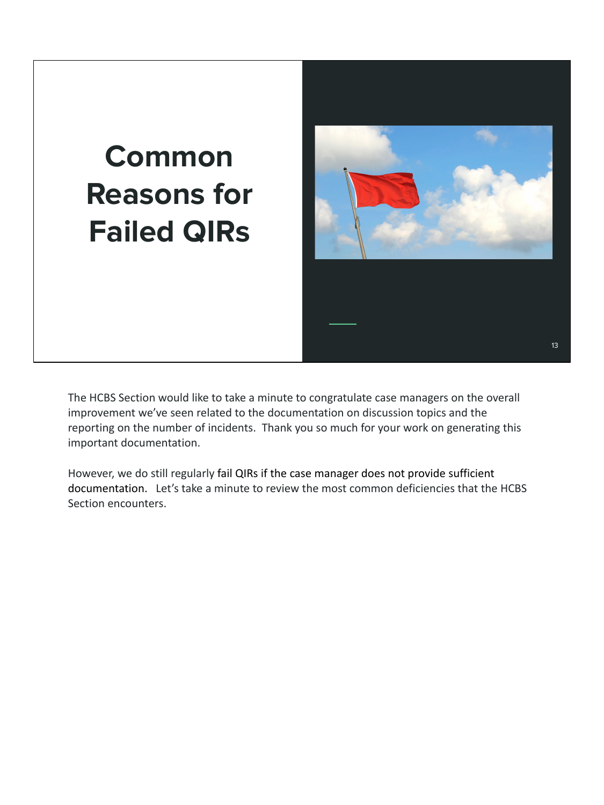## **Common Reasons for Failed QIRs**



The HCBS Section would like to take a minute to congratulate case managers on the overall improvement we've seen related to the documentation on discussion topics and the reporting on the number of incidents. Thank you so much for your work on generating this important documentation.

However, we do still regularly fail QIRs if the case manager does not provide sufficient documentation. Let's take a minute to review the most common deficiencies that the HCBS Section encounters.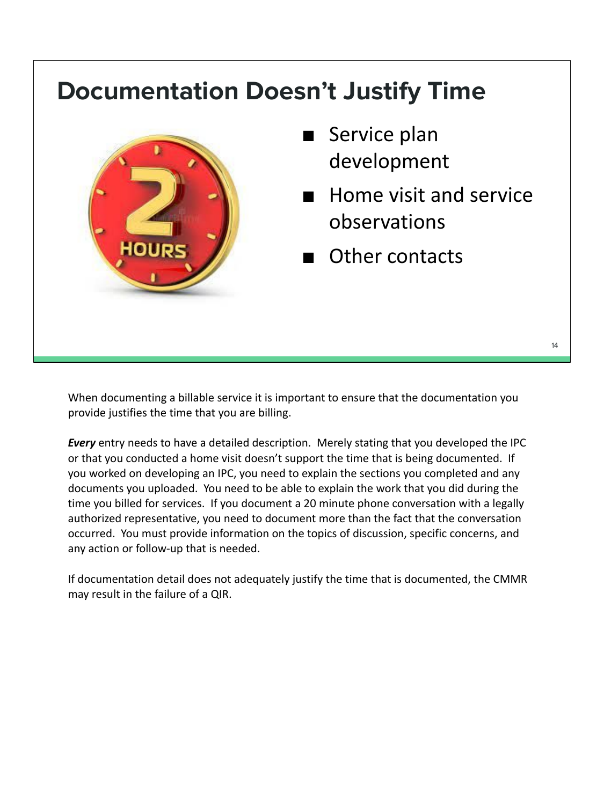#### **Documentation Doesn't Justify Time**



- Service plan development
- Home visit and service observations
- Other contacts

When documenting a billable service it is important to ensure that the documentation you provide justifies the time that you are billing.

*Every* entry needs to have a detailed description. Merely stating that you developed the IPC or that you conducted a home visit doesn't support the time that is being documented. If you worked on developing an IPC, you need to explain the sections you completed and any documents you uploaded. You need to be able to explain the work that you did during the time you billed for services. If you document a 20 minute phone conversation with a legally authorized representative, you need to document more than the fact that the conversation occurred. You must provide information on the topics of discussion, specific concerns, and any action or follow-up that is needed.

If documentation detail does not adequately justify the time that is documented, the CMMR may result in the failure of a QIR.

14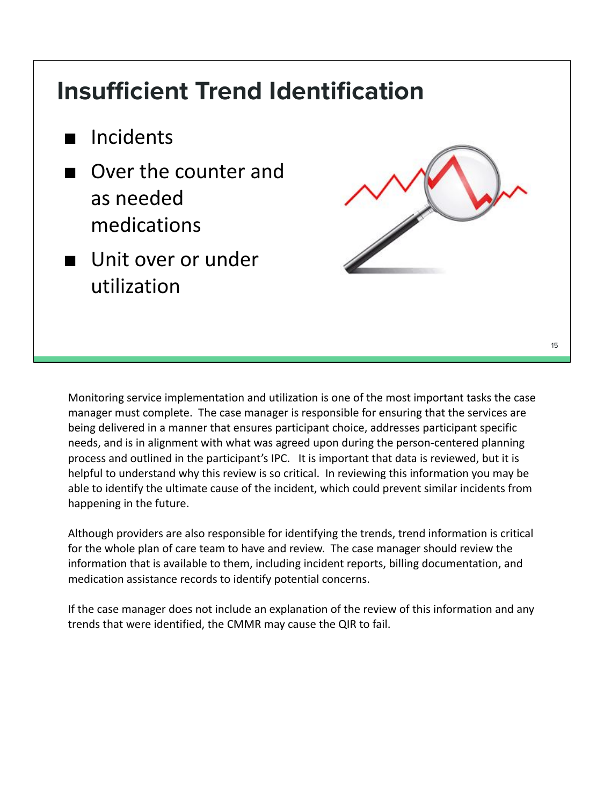#### **Insufficient Trend Identification**

- Incidents
- Over the counter and as needed medications
- Unit over or under utilization



Monitoring service implementation and utilization is one of the most important tasks the case manager must complete. The case manager is responsible for ensuring that the services are being delivered in a manner that ensures participant choice, addresses participant specific needs, and is in alignment with what was agreed upon during the person-centered planning process and outlined in the participant's IPC. It is important that data is reviewed, but it is helpful to understand why this review is so critical. In reviewing this information you may be able to identify the ultimate cause of the incident, which could prevent similar incidents from happening in the future.

Although providers are also responsible for identifying the trends, trend information is critical for the whole plan of care team to have and review. The case manager should review the information that is available to them, including incident reports, billing documentation, and medication assistance records to identify potential concerns.

If the case manager does not include an explanation of the review of this information and any trends that were identified, the CMMR may cause the QIR to fail.

15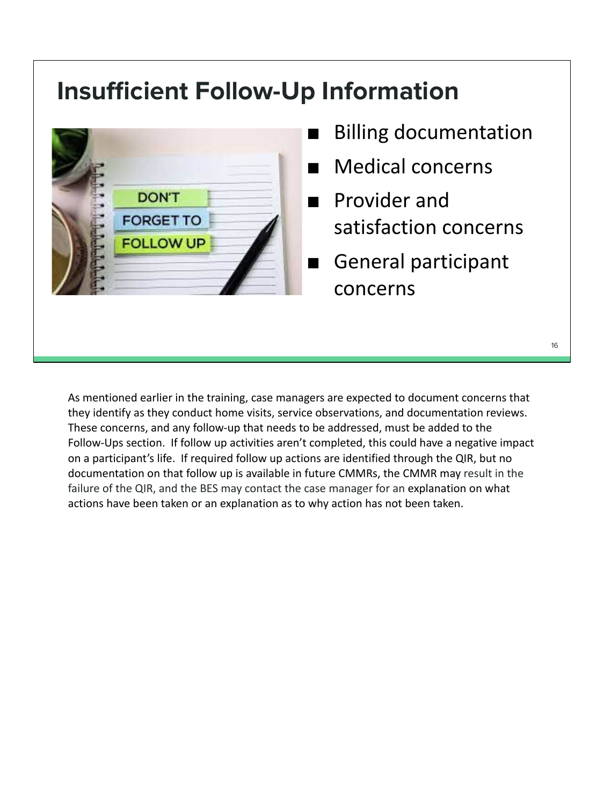#### **Insufficient Follow-Up Information**



- **Billing documentation**
- Medical concerns
- Provider and satisfaction concerns
- General participant concerns

16

As mentioned earlier in the training, case managers are expected to document concerns that they identify as they conduct home visits, service observations, and documentation reviews. These concerns, and any follow-up that needs to be addressed, must be added to the Follow-Ups section. If follow up activities aren't completed, this could have a negative impact on a participant's life. If required follow up actions are identified through the QIR, but no documentation on that follow up is available in future CMMRs, the CMMR may result in the failure of the QIR, and the BES may contact the case manager for an explanation on what actions have been taken or an explanation as to why action has not been taken.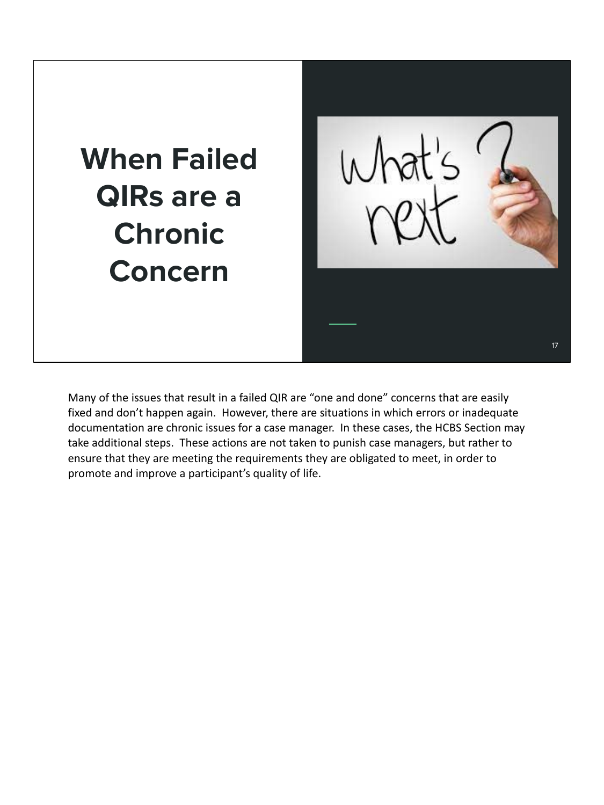# **When Failed QIRs are a Chronic Concern**



Many of the issues that result in a failed QIR are "one and done" concerns that are easily fixed and don't happen again. However, there are situations in which errors or inadequate documentation are chronic issues for a case manager. In these cases, the HCBS Section may take additional steps. These actions are not taken to punish case managers, but rather to ensure that they are meeting the requirements they are obligated to meet, in order to promote and improve a participant's quality of life.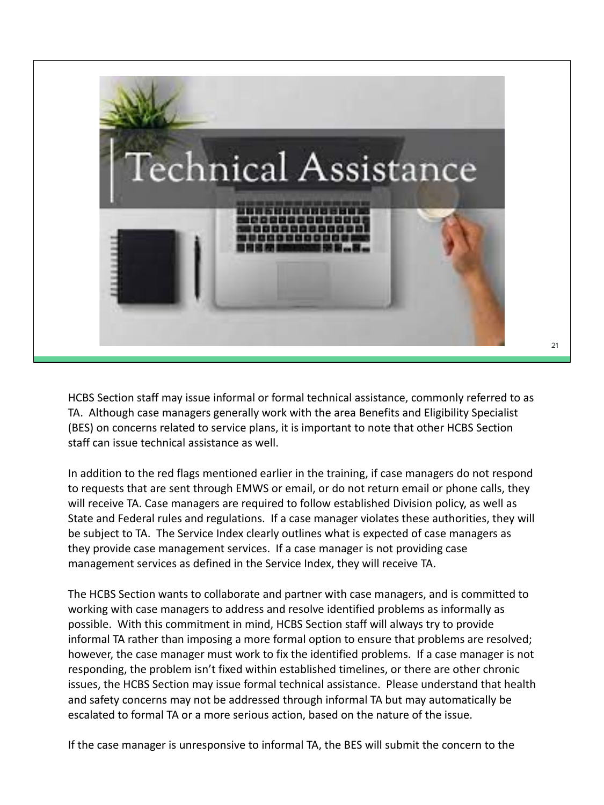

HCBS Section staff may issue informal or formal technical assistance, commonly referred to as TA. Although case managers generally work with the area Benefits and Eligibility Specialist (BES) on concerns related to service plans, it is important to note that other HCBS Section staff can issue technical assistance as well.

In addition to the red flags mentioned earlier in the training, if case managers do not respond to requests that are sent through EMWS or email, or do not return email or phone calls, they will receive TA. Case managers are required to follow established Division policy, as well as State and Federal rules and regulations. If a case manager violates these authorities, they will be subject to TA. The Service Index clearly outlines what is expected of case managers as they provide case management services. If a case manager is not providing case management services as defined in the Service Index, they will receive TA.

The HCBS Section wants to collaborate and partner with case managers, and is committed to working with case managers to address and resolve identified problems as informally as possible. With this commitment in mind, HCBS Section staff will always try to provide informal TA rather than imposing a more formal option to ensure that problems are resolved; however, the case manager must work to fix the identified problems. If a case manager is not responding, the problem isn't fixed within established timelines, or there are other chronic issues, the HCBS Section may issue formal technical assistance. Please understand that health and safety concerns may not be addressed through informal TA but may automatically be escalated to formal TA or a more serious action, based on the nature of the issue.

If the case manager is unresponsive to informal TA, the BES will submit the concern to the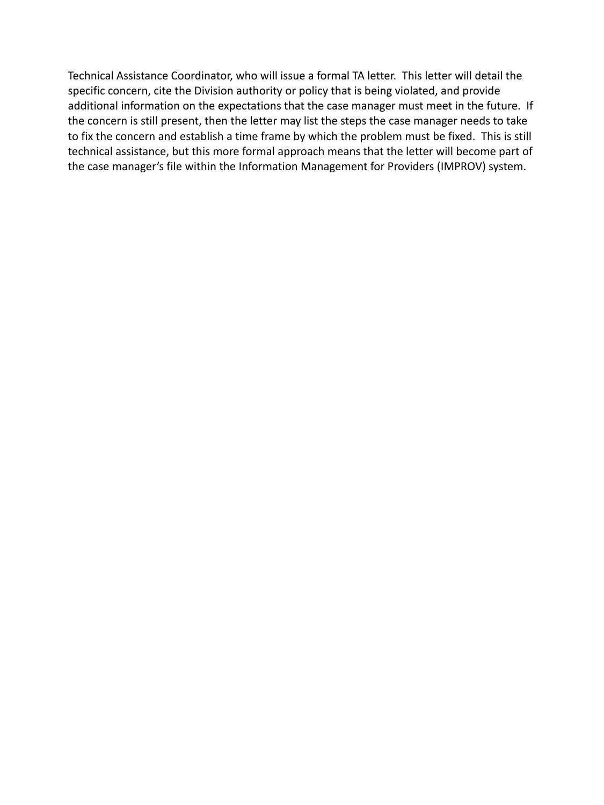Technical Assistance Coordinator, who will issue a formal TA letter. This letter will detail the specific concern, cite the Division authority or policy that is being violated, and provide additional information on the expectations that the case manager must meet in the future. If the concern is still present, then the letter may list the steps the case manager needs to take to fix the concern and establish a time frame by which the problem must be fixed. This is still technical assistance, but this more formal approach means that the letter will become part of the case manager's file within the Information Management for Providers (IMPROV) system.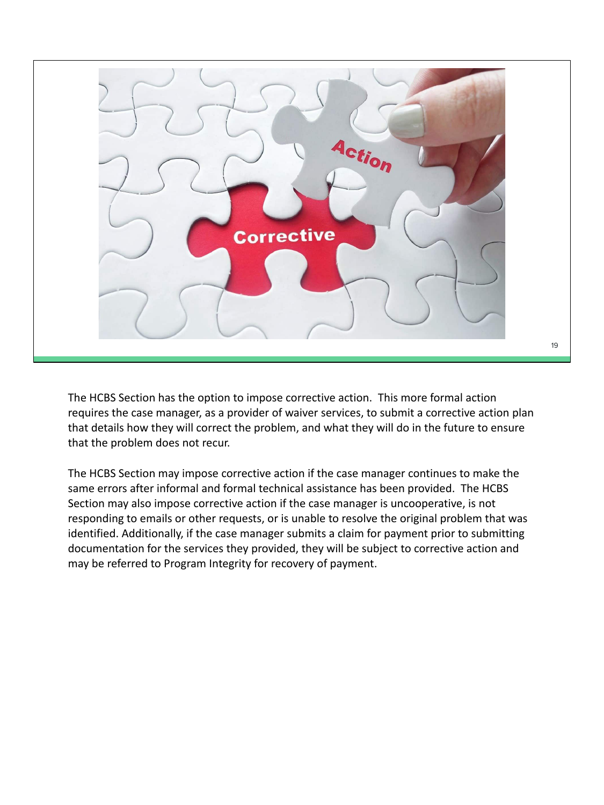

The HCBS Section has the option to impose corrective action. This more formal action requires the case manager, as a provider of waiver services, to submit a corrective action plan that details how they will correct the problem, and what they will do in the future to ensure that the problem does not recur.

The HCBS Section may impose corrective action if the case manager continues to make the same errors after informal and formal technical assistance has been provided. The HCBS Section may also impose corrective action if the case manager is uncooperative, is not responding to emails or other requests, or is unable to resolve the original problem that was identified. Additionally, if the case manager submits a claim for payment prior to submitting documentation for the services they provided, they will be subject to corrective action and may be referred to Program Integrity for recovery of payment.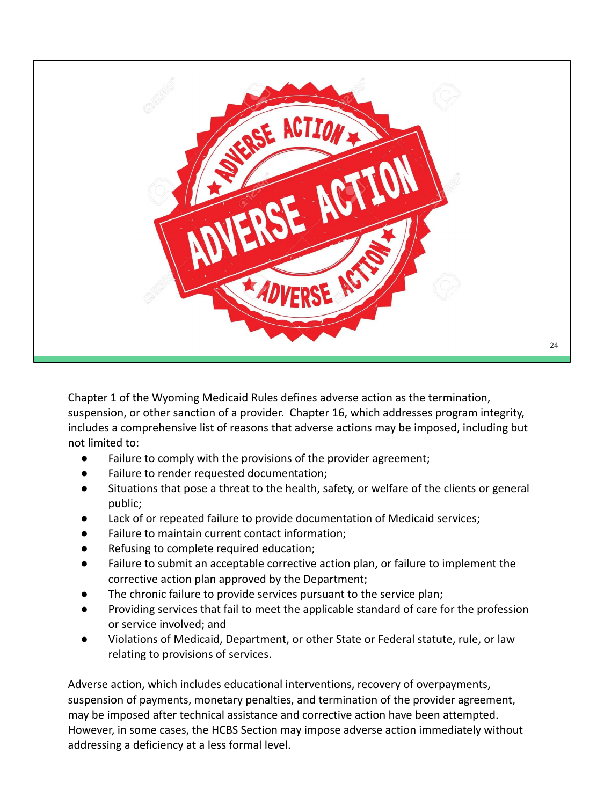

Chapter 1 of the Wyoming Medicaid Rules defines adverse action as the termination, suspension, or other sanction of a provider. Chapter 16, which addresses program integrity, includes a comprehensive list of reasons that adverse actions may be imposed, including but not limited to:

- Failure to comply with the provisions of the provider agreement;
- Failure to render requested documentation;
- Situations that pose a threat to the health, safety, or welfare of the clients or general public;
- Lack of or repeated failure to provide documentation of Medicaid services;
- Failure to maintain current contact information;
- Refusing to complete required education;
- Failure to submit an acceptable corrective action plan, or failure to implement the corrective action plan approved by the Department;
- The chronic failure to provide services pursuant to the service plan;
- Providing services that fail to meet the applicable standard of care for the profession or service involved; and
- Violations of Medicaid, Department, or other State or Federal statute, rule, or law relating to provisions of services.

Adverse action, which includes educational interventions, recovery of overpayments, suspension of payments, monetary penalties, and termination of the provider agreement, may be imposed after technical assistance and corrective action have been attempted. However, in some cases, the HCBS Section may impose adverse action immediately without addressing a deficiency at a less formal level.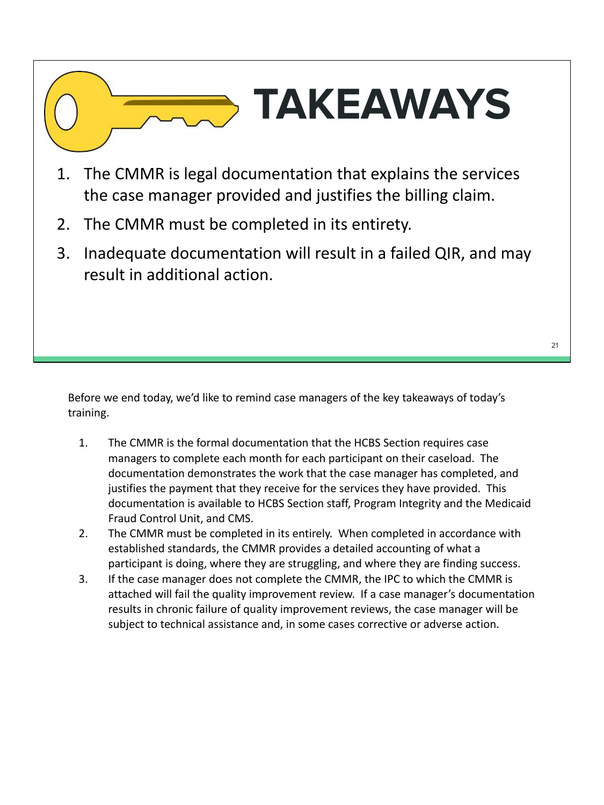# **TAKEAWAYS**

- 1. The CMMR is legal documentation that explains the services the case manager provided and justifies the billing claim.
- 2. The CMMR must be completed in its entirety.
- 3. Inadequate documentation will result in a failed QIR, and may result in additional action.

Before we end today, we'd like to remind case managers of the key takeaways of today's training.

- 1. The CMMR is the formal documentation that the HCBS Section requires case managers to complete each month for each participant on their caseload. The documentation demonstrates the work that the case manager has completed, and justifies the payment that they receive for the services they have provided. This documentation is available to HCBS Section staff, Program Integrity and the Medicaid Fraud Control Unit, and CMS.
- 2. The CMMR must be completed in its entirely. When completed in accordance with established standards, the CMMR provides a detailed accounting of what a participant is doing, where they are struggling, and where they are finding success.
- 3. If the case manager does not complete the CMMR, the IPC to which the CMMR is attached will fail the quality improvement review. If a case manager's documentation results in chronic failure of quality improvement reviews, the case manager will be subject to technical assistance and, in some cases corrective or adverse action.

21